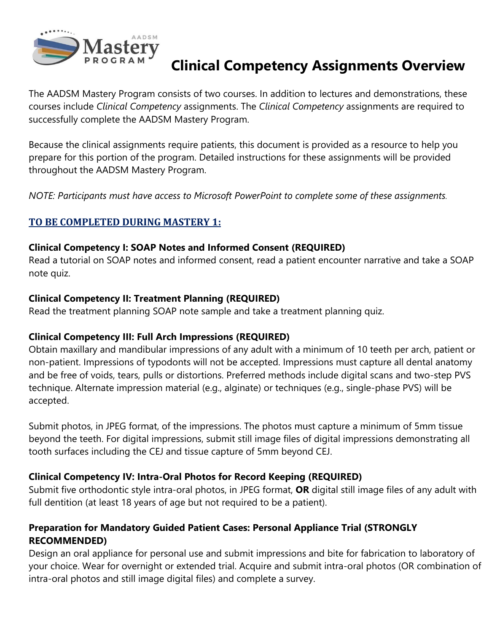

# **Clinical Competency Assignments Overview**

The AADSM Mastery Program consists of two courses. In addition to lectures and demonstrations, these courses include *Clinical Competency* assignments. The *Clinical Competency* assignments are required to successfully complete the AADSM Mastery Program.

Because the clinical assignments require patients, this document is provided as a resource to help you prepare for this portion of the program. Detailed instructions for these assignments will be provided throughout the AADSM Mastery Program.

*NOTE: Participants must have access to Microsoft PowerPoint to complete some of these assignments.* 

# **TO BE COMPLETED DURING MASTERY 1:**

#### **Clinical Competency I: SOAP Notes and Informed Consent (REQUIRED)**

Read a tutorial on SOAP notes and informed consent, read a patient encounter narrative and take a SOAP note quiz.

#### **Clinical Competency II: Treatment Planning (REQUIRED)**

Read the treatment planning SOAP note sample and take a treatment planning quiz.

### **Clinical Competency III: Full Arch Impressions (REQUIRED)**

Obtain maxillary and mandibular impressions of any adult with a minimum of 10 teeth per arch, patient or non-patient. Impressions of typodonts will not be accepted. Impressions must capture all dental anatomy and be free of voids, tears, pulls or distortions. Preferred methods include digital scans and two-step PVS technique. Alternate impression material (e.g., alginate) or techniques (e.g., single-phase PVS) will be accepted.

Submit photos, in JPEG format, of the impressions. The photos must capture a minimum of 5mm tissue beyond the teeth. For digital impressions, submit still image files of digital impressions demonstrating all tooth surfaces including the CEJ and tissue capture of 5mm beyond CEJ.

### **Clinical Competency IV: Intra-Oral Photos for Record Keeping (REQUIRED)**

Submit five orthodontic style intra-oral photos, in JPEG format, **OR** digital still image files of any adult with full dentition (at least 18 years of age but not required to be a patient).

### **Preparation for Mandatory Guided Patient Cases: Personal Appliance Trial (STRONGLY RECOMMENDED)**

Design an oral appliance for personal use and submit impressions and bite for fabrication to laboratory of your choice. Wear for overnight or extended trial. Acquire and submit intra-oral photos (OR combination of intra-oral photos and still image digital files) and complete a survey.